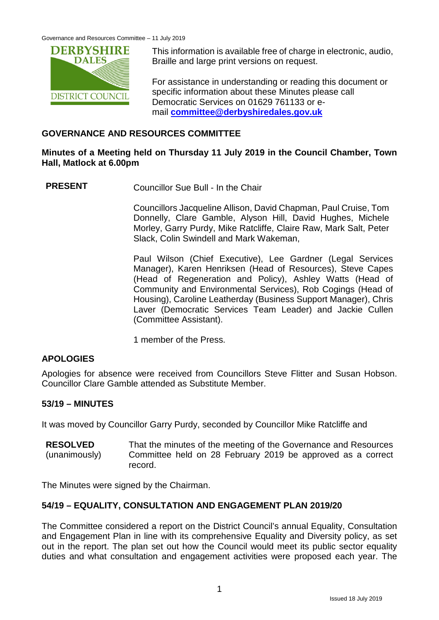

This information is available free of charge in electronic, audio, Braille and large print versions on request.

For assistance in understanding or reading this document or specific information about these Minutes please call Democratic Services on 01629 761133 or email **[committee@derbyshiredales.gov.uk](mailto:committee@derbyshiredales.gov.uk)**

## **GOVERNANCE AND RESOURCES COMMITTEE**

### **Minutes of a Meeting held on Thursday 11 July 2019 in the Council Chamber, Town Hall, Matlock at 6.00pm**

**PRESENT** Councillor Sue Bull - In the Chair

Councillors Jacqueline Allison, David Chapman, Paul Cruise, Tom Donnelly, Clare Gamble, Alyson Hill, David Hughes, Michele Morley, Garry Purdy, Mike Ratcliffe, Claire Raw, Mark Salt, Peter Slack, Colin Swindell and Mark Wakeman,

Paul Wilson (Chief Executive), Lee Gardner (Legal Services Manager), Karen Henriksen (Head of Resources), Steve Capes (Head of Regeneration and Policy), Ashley Watts (Head of Community and Environmental Services), Rob Cogings (Head of Housing), Caroline Leatherday (Business Support Manager), Chris Laver (Democratic Services Team Leader) and Jackie Cullen (Committee Assistant).

1 member of the Press.

# **APOLOGIES**

Apologies for absence were received from Councillors Steve Flitter and Susan Hobson. Councillor Clare Gamble attended as Substitute Member.

#### **53/19 – MINUTES**

It was moved by Councillor Garry Purdy, seconded by Councillor Mike Ratcliffe and

**RESOLVED** (unanimously) That the minutes of the meeting of the Governance and Resources Committee held on 28 February 2019 be approved as a correct record.

The Minutes were signed by the Chairman.

#### **54/19 – EQUALITY, CONSULTATION AND ENGAGEMENT PLAN 2019/20**

The Committee considered a report on the District Council's annual Equality, Consultation and Engagement Plan in line with its comprehensive Equality and Diversity policy, as set out in the report. The plan set out how the Council would meet its public sector equality duties and what consultation and engagement activities were proposed each year. The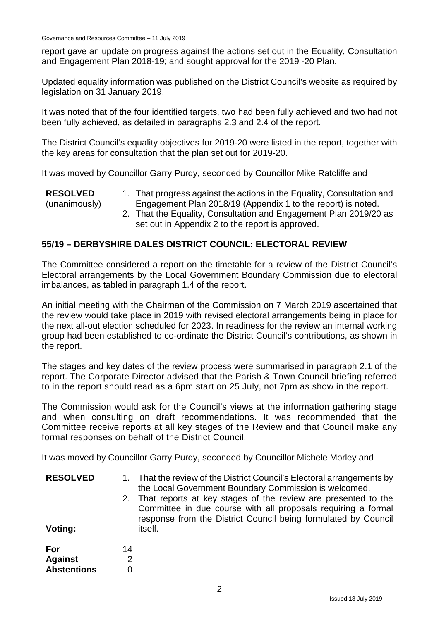report gave an update on progress against the actions set out in the Equality, Consultation and Engagement Plan 2018-19; and sought approval for the 2019 -20 Plan.

Updated equality information was published on the District Council's website as required by legislation on 31 January 2019.

It was noted that of the four identified targets, two had been fully achieved and two had not been fully achieved, as detailed in paragraphs 2.3 and 2.4 of the report.

The District Council's equality objectives for 2019-20 were listed in the report, together with the key areas for consultation that the plan set out for 2019-20.

It was moved by Councillor Garry Purdy, seconded by Councillor Mike Ratcliffe and

**RESOLVED** (unanimously) 1. That progress against the actions in the Equality, Consultation and Engagement Plan 2018/19 (Appendix 1 to the report) is noted. 2. That the Equality, Consultation and Engagement Plan 2019/20 as set out in Appendix 2 to the report is approved.

# **55/19 – DERBYSHIRE DALES DISTRICT COUNCIL: ELECTORAL REVIEW**

The Committee considered a report on the timetable for a review of the District Council's Electoral arrangements by the Local Government Boundary Commission due to electoral imbalances, as tabled in paragraph 1.4 of the report.

An initial meeting with the Chairman of the Commission on 7 March 2019 ascertained that the review would take place in 2019 with revised electoral arrangements being in place for the next all-out election scheduled for 2023. In readiness for the review an internal working group had been established to co-ordinate the District Council's contributions, as shown in the report.

The stages and key dates of the review process were summarised in paragraph 2.1 of the report. The Corporate Director advised that the Parish & Town Council briefing referred to in the report should read as a 6pm start on 25 July, not 7pm as show in the report.

The Commission would ask for the Council's views at the information gathering stage and when consulting on draft recommendations. It was recommended that the Committee receive reports at all key stages of the Review and that Council make any formal responses on behalf of the District Council.

It was moved by Councillor Garry Purdy, seconded by Councillor Michele Morley and

| <b>RESOLVED</b><br>Voting: |    | 1. That the review of the District Council's Electoral arrangements by<br>the Local Government Boundary Commission is welcomed.<br>2. That reports at key stages of the review are presented to the<br>Committee in due course with all proposals requiring a formal<br>response from the District Council being formulated by Council<br>itself. |
|----------------------------|----|---------------------------------------------------------------------------------------------------------------------------------------------------------------------------------------------------------------------------------------------------------------------------------------------------------------------------------------------------|
| For                        | 14 |                                                                                                                                                                                                                                                                                                                                                   |
| <b>Against</b>             |    |                                                                                                                                                                                                                                                                                                                                                   |
| <b>Abstentions</b>         |    |                                                                                                                                                                                                                                                                                                                                                   |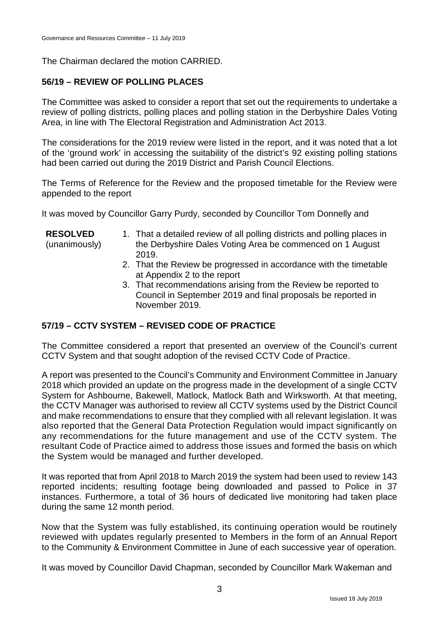The Chairman declared the motion CARRIED.

# **56/19 – REVIEW OF POLLING PLACES**

The Committee was asked to consider a report that set out the requirements to undertake a review of polling districts, polling places and polling station in the Derbyshire Dales Voting Area, in line with The Electoral Registration and Administration Act 2013.

The considerations for the 2019 review were listed in the report, and it was noted that a lot of the 'ground work' in accessing the suitability of the district's 92 existing polling stations had been carried out during the 2019 District and Parish Council Elections.

The Terms of Reference for the Review and the proposed timetable for the Review were appended to the report

It was moved by Councillor Garry Purdy, seconded by Councillor Tom Donnelly and

| <b>RESOLVED</b><br>(unanimously) | 1. That a detailed review of all polling districts and polling places in<br>the Derbyshire Dales Voting Area be commenced on 1 August<br>2019.   |
|----------------------------------|--------------------------------------------------------------------------------------------------------------------------------------------------|
|                                  | 2. That the Review be progressed in accordance with the timetable<br>at Appendix 2 to the report                                                 |
|                                  | 3. That recommendations arising from the Review be reported to<br>Council in September 2019 and final proposals be reported in<br>November 2019. |

#### **57/19 – CCTV SYSTEM – REVISED CODE OF PRACTICE**

The Committee considered a report that presented an overview of the Council's current CCTV System and that sought adoption of the revised CCTV Code of Practice.

A report was presented to the Council's Community and Environment Committee in January 2018 which provided an update on the progress made in the development of a single CCTV System for Ashbourne, Bakewell, Matlock, Matlock Bath and Wirksworth. At that meeting, the CCTV Manager was authorised to review all CCTV systems used by the District Council and make recommendations to ensure that they complied with all relevant legislation. It was also reported that the General Data Protection Regulation would impact significantly on any recommendations for the future management and use of the CCTV system. The resultant Code of Practice aimed to address those issues and formed the basis on which the System would be managed and further developed.

It was reported that from April 2018 to March 2019 the system had been used to review 143 reported incidents; resulting footage being downloaded and passed to Police in 37 instances. Furthermore, a total of 36 hours of dedicated live monitoring had taken place during the same 12 month period.

Now that the System was fully established, its continuing operation would be routinely reviewed with updates regularly presented to Members in the form of an Annual Report to the Community & Environment Committee in June of each successive year of operation.

It was moved by Councillor David Chapman, seconded by Councillor Mark Wakeman and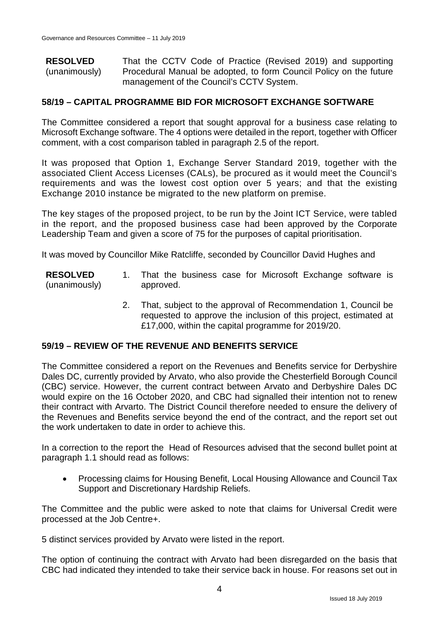**RESOLVED** (unanimously) That the CCTV Code of Practice (Revised 2019) and supporting Procedural Manual be adopted, to form Council Policy on the future management of the Council's CCTV System.

#### **58/19 – CAPITAL PROGRAMME BID FOR MICROSOFT EXCHANGE SOFTWARE**

The Committee considered a report that sought approval for a business case relating to Microsoft Exchange software. The 4 options were detailed in the report, together with Officer comment, with a cost comparison tabled in paragraph 2.5 of the report.

It was proposed that Option 1, Exchange Server Standard 2019, together with the associated Client Access Licenses (CALs), be procured as it would meet the Council's requirements and was the lowest cost option over 5 years; and that the existing Exchange 2010 instance be migrated to the new platform on premise.

The key stages of the proposed project, to be run by the Joint ICT Service, were tabled in the report, and the proposed business case had been approved by the Corporate Leadership Team and given a score of 75 for the purposes of capital prioritisation.

It was moved by Councillor Mike Ratcliffe, seconded by Councillor David Hughes and

- **RESOLVED** (unanimously) 1. That the business case for Microsoft Exchange software is approved.
	- 2. That, subject to the approval of Recommendation 1, Council be requested to approve the inclusion of this project, estimated at £17,000, within the capital programme for 2019/20.

#### **59/19 – REVIEW OF THE REVENUE AND BENEFITS SERVICE**

The Committee considered a report on the Revenues and Benefits service for Derbyshire Dales DC, currently provided by Arvato, who also provide the Chesterfield Borough Council (CBC) service. However, the current contract between Arvato and Derbyshire Dales DC would expire on the 16 October 2020, and CBC had signalled their intention not to renew their contract with Arvarto. The District Council therefore needed to ensure the delivery of the Revenues and Benefits service beyond the end of the contract, and the report set out the work undertaken to date in order to achieve this.

In a correction to the report the Head of Resources advised that the second bullet point at paragraph 1.1 should read as follows:

• Processing claims for Housing Benefit, Local Housing Allowance and Council Tax Support and Discretionary Hardship Reliefs.

The Committee and the public were asked to note that claims for Universal Credit were processed at the Job Centre+.

5 distinct services provided by Arvato were listed in the report.

The option of continuing the contract with Arvato had been disregarded on the basis that CBC had indicated they intended to take their service back in house. For reasons set out in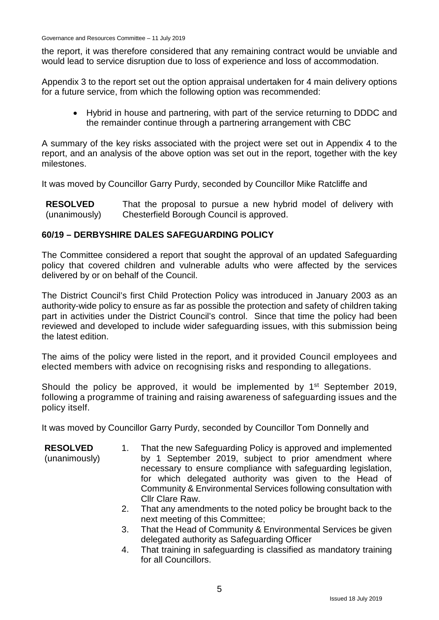the report, it was therefore considered that any remaining contract would be unviable and would lead to service disruption due to loss of experience and loss of accommodation.

Appendix 3 to the report set out the option appraisal undertaken for 4 main delivery options for a future service, from which the following option was recommended:

• Hybrid in house and partnering, with part of the service returning to DDDC and the remainder continue through a partnering arrangement with CBC

A summary of the key risks associated with the project were set out in Appendix 4 to the report, and an analysis of the above option was set out in the report, together with the key milestones.

It was moved by Councillor Garry Purdy, seconded by Councillor Mike Ratcliffe and

**RESOLVED** (unanimously) That the proposal to pursue a new hybrid model of delivery with Chesterfield Borough Council is approved.

#### **60/19 – DERBYSHIRE DALES SAFEGUARDING POLICY**

The Committee considered a report that sought the approval of an updated Safeguarding policy that covered children and vulnerable adults who were affected by the services delivered by or on behalf of the Council.

The District Council's first Child Protection Policy was introduced in January 2003 as an authority-wide policy to ensure as far as possible the protection and safety of children taking part in activities under the District Council's control. Since that time the policy had been reviewed and developed to include wider safeguarding issues, with this submission being the latest edition.

The aims of the policy were listed in the report, and it provided Council employees and elected members with advice on recognising risks and responding to allegations.

Should the policy be approved, it would be implemented by 1<sup>st</sup> September 2019, following a programme of training and raising awareness of safeguarding issues and the policy itself.

It was moved by Councillor Garry Purdy, seconded by Councillor Tom Donnelly and

| <b>RESOLVED</b> | That the new Safeguarding Policy is approved and implemented   |
|-----------------|----------------------------------------------------------------|
| (unanimously)   | by 1 September 2019, subject to prior amendment where          |
|                 | necessary to ensure compliance with safeguarding legislation,  |
|                 | for which delegated authority was given to the Head of         |
|                 | Community & Environmental Services following consultation with |
|                 | Cllr Clare Raw.                                                |

- 2. That any amendments to the noted policy be brought back to the next meeting of this Committee;
- 3. That the Head of Community & Environmental Services be given delegated authority as Safeguarding Officer
- 4. That training in safeguarding is classified as mandatory training for all Councillors.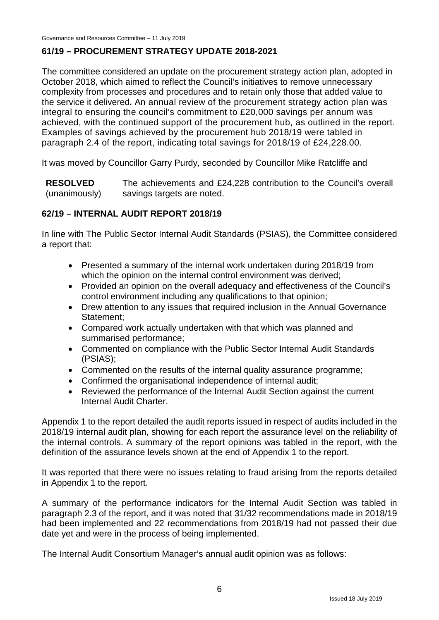# **61/19 – PROCUREMENT STRATEGY UPDATE 2018-2021**

The committee considered an update on the procurement strategy action plan, adopted in October 2018, which aimed to reflect the Council's initiatives to remove unnecessary complexity from processes and procedures and to retain only those that added value to the service it delivered*.* An annual review of the procurement strategy action plan was integral to ensuring the council's commitment to £20,000 savings per annum was achieved, with the continued support of the procurement hub, as outlined in the report. Examples of savings achieved by the procurement hub 2018/19 were tabled in paragraph 2.4 of the report, indicating total savings for 2018/19 of £24,228.00.

It was moved by Councillor Garry Purdy, seconded by Councillor Mike Ratcliffe and

**RESOLVED** (unanimously) The achievements and £24,228 contribution to the Council's overall savings targets are noted.

#### **62/19 – INTERNAL AUDIT REPORT 2018/19**

In line with The Public Sector Internal Audit Standards (PSIAS), the Committee considered a report that:

- Presented a summary of the internal work undertaken during 2018/19 from which the opinion on the internal control environment was derived;
- Provided an opinion on the overall adequacy and effectiveness of the Council's control environment including any qualifications to that opinion;
- Drew attention to any issues that required inclusion in the Annual Governance Statement;
- Compared work actually undertaken with that which was planned and summarised performance;
- Commented on compliance with the Public Sector Internal Audit Standards (PSIAS);
- Commented on the results of the internal quality assurance programme;
- Confirmed the organisational independence of internal audit;
- Reviewed the performance of the Internal Audit Section against the current Internal Audit Charter.

Appendix 1 to the report detailed the audit reports issued in respect of audits included in the 2018/19 internal audit plan, showing for each report the assurance level on the reliability of the internal controls. A summary of the report opinions was tabled in the report, with the definition of the assurance levels shown at the end of Appendix 1 to the report.

It was reported that there were no issues relating to fraud arising from the reports detailed in Appendix 1 to the report.

A summary of the performance indicators for the Internal Audit Section was tabled in paragraph 2.3 of the report, and it was noted that 31/32 recommendations made in 2018/19 had been implemented and 22 recommendations from 2018/19 had not passed their due date yet and were in the process of being implemented.

The Internal Audit Consortium Manager's annual audit opinion was as follows: